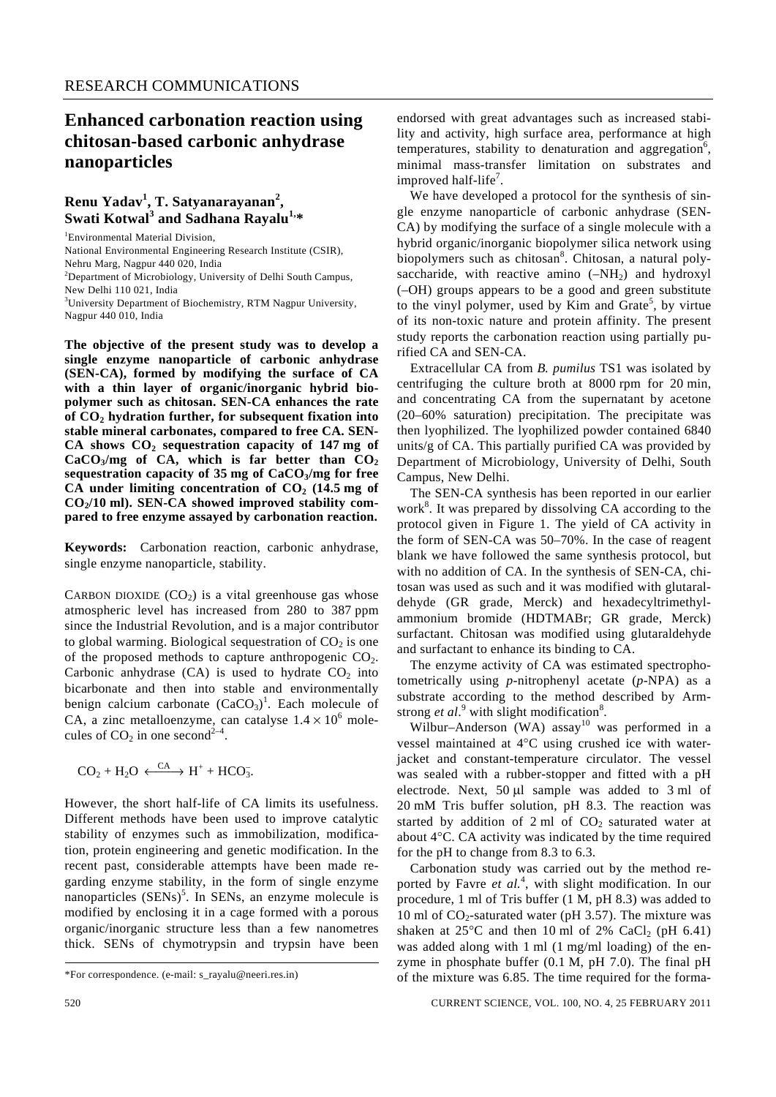# **Enhanced carbonation reaction using chitosan-based carbonic anhydrase nanoparticles**

## **Renu Yadav<sup>1</sup> , T. Satyanarayanan<sup>2</sup> , Swati Kotwal<sup>3</sup> and Sadhana Rayalu1,\***

1 Environmental Material Division, National Environmental Engineering Research Institute (CSIR), Nehru Marg, Nagpur 440 020, India <sup>2</sup>Department of Microbiology, University of Delhi South Campus, New Delhi 110 021, India <sup>3</sup>University Department of Biochemistry, RTM Nagpur University, Nagpur 440 010, India

**The objective of the present study was to develop a single enzyme nanoparticle of carbonic anhydrase (SEN-CA), formed by modifying the surface of CA with a thin layer of organic/inorganic hybrid biopolymer such as chitosan. SEN-CA enhances the rate of CO2 hydration further, for subsequent fixation into stable mineral carbonates, compared to free CA. SEN-**CA shows  $CO<sub>2</sub>$  sequestration capacity of 147 mg of  $CaCO<sub>3</sub>/mg$  of CA, which is far better than  $CO<sub>2</sub>$ **sequestration capacity of 35 mg of CaCO3/mg for free**  CA under limiting concentration of  $CO<sub>2</sub>$  (14.5 mg of CO<sub>2</sub>/10 ml). SEN-CA showed improved stability com**pared to free enzyme assayed by carbonation reaction.** 

**Keywords:** Carbonation reaction, carbonic anhydrase, single enzyme nanoparticle, stability.

CARBON DIOXIDE  $(CO<sub>2</sub>)$  is a vital greenhouse gas whose atmospheric level has increased from 280 to 387 ppm since the Industrial Revolution, and is a major contributor to global warming. Biological sequestration of  $CO<sub>2</sub>$  is one of the proposed methods to capture anthropogenic  $CO<sub>2</sub>$ . Carbonic anhydrase  $(CA)$  is used to hydrate  $CO<sub>2</sub>$  into bicarbonate and then into stable and environmentally benign calcium carbonate  $(CaCO<sub>3</sub>)<sup>1</sup>$ . Each molecule of CA, a zinc metalloenzyme, can catalyse  $1.4 \times 10^6$  molecules of  $CO<sub>2</sub>$  in one second<sup>2-4</sup>.

$$
CO_2 + H_2O \xleftarrow{CA} H^+ + HCO_3^-.
$$

However, the short half-life of CA limits its usefulness. Different methods have been used to improve catalytic stability of enzymes such as immobilization, modification, protein engineering and genetic modification. In the recent past, considerable attempts have been made regarding enzyme stability, in the form of single enzyme nanoparticles  $(SENS)^5$ . In SENs, an enzyme molecule is modified by enclosing it in a cage formed with a porous organic/inorganic structure less than a few nanometres thick. SENs of chymotrypsin and trypsin have been

endorsed with great advantages such as increased stability and activity, high surface area, performance at high temperatures, stability to denaturation and aggregation<sup>6</sup>, minimal mass-transfer limitation on substrates and improved half-life<sup>7</sup>.

 We have developed a protocol for the synthesis of single enzyme nanoparticle of carbonic anhydrase (SEN-CA) by modifying the surface of a single molecule with a hybrid organic/inorganic biopolymer silica network using biopolymers such as chitosan<sup>8</sup>. Chitosan, a natural polysaccharide, with reactive amino  $(-NH<sub>2</sub>)$  and hydroxyl (–OH) groups appears to be a good and green substitute to the vinyl polymer, used by Kim and Grate<sup>5</sup>, by virtue of its non-toxic nature and protein affinity. The present study reports the carbonation reaction using partially purified CA and SEN-CA.

 Extracellular CA from *B. pumilus* TS1 was isolated by centrifuging the culture broth at 8000 rpm for 20 min, and concentrating CA from the supernatant by acetone (20–60% saturation) precipitation. The precipitate was then lyophilized. The lyophilized powder contained 6840 units/g of CA. This partially purified CA was provided by Department of Microbiology, University of Delhi, South Campus, New Delhi.

 The SEN-CA synthesis has been reported in our earlier work<sup>8</sup>. It was prepared by dissolving CA according to the protocol given in Figure 1. The yield of CA activity in the form of SEN-CA was 50–70%. In the case of reagent blank we have followed the same synthesis protocol, but with no addition of CA. In the synthesis of SEN-CA, chitosan was used as such and it was modified with glutaraldehyde (GR grade, Merck) and hexadecyltrimethylammonium bromide (HDTMABr; GR grade, Merck) surfactant. Chitosan was modified using glutaraldehyde and surfactant to enhance its binding to CA.

 The enzyme activity of CA was estimated spectrophotometrically using *p*-nitrophenyl acetate (*p*-NPA) as a substrate according to the method described by Armstrong  $et al.<sup>9</sup>$  with slight modification<sup>8</sup>.

Wilbur–Anderson (WA) assay<sup>10</sup> was performed in a vessel maintained at 4°C using crushed ice with waterjacket and constant-temperature circulator. The vessel was sealed with a rubber-stopper and fitted with a pH electrode. Next, 50 μl sample was added to 3 ml of 20 mM Tris buffer solution, pH 8.3. The reaction was started by addition of  $2 \text{ ml}$  of  $CO<sub>2</sub>$  saturated water at about 4°C. CA activity was indicated by the time required for the pH to change from 8.3 to 6.3.

 Carbonation study was carried out by the method reported by Favre *et al.*<sup>4</sup> , with slight modification. In our procedure, 1 ml of Tris buffer (1 M, pH 8.3) was added to 10 ml of  $CO_2$ -saturated water (pH 3.57). The mixture was shaken at  $25^{\circ}$ C and then 10 ml of 2% CaCl<sub>2</sub> (pH 6.41) was added along with 1 ml (1 mg/ml loading) of the enzyme in phosphate buffer (0.1 M, pH 7.0). The final pH of the mixture was 6.85. The time required for the forma-

<sup>\*</sup>For correspondence. (e-mail: s\_rayalu@neeri.res.in)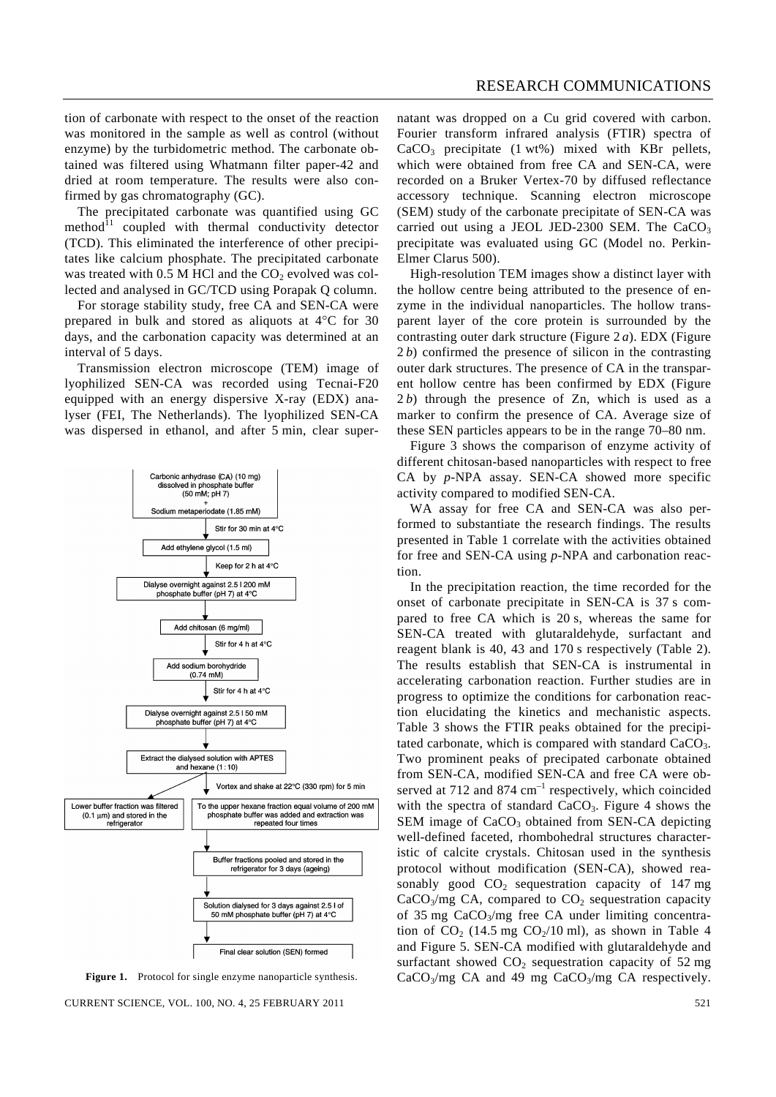tion of carbonate with respect to the onset of the reaction was monitored in the sample as well as control (without enzyme) by the turbidometric method. The carbonate obtained was filtered using Whatmann filter paper-42 and dried at room temperature. The results were also confirmed by gas chromatography (GC).

 The precipitated carbonate was quantified using GC  $method<sup>11</sup>$  coupled with thermal conductivity detector (TCD). This eliminated the interference of other precipitates like calcium phosphate. The precipitated carbonate was treated with  $0.5$  M HCl and the CO<sub>2</sub> evolved was collected and analysed in GC/TCD using Porapak Q column.

 For storage stability study, free CA and SEN-CA were prepared in bulk and stored as aliquots at 4°C for 30 days, and the carbonation capacity was determined at an interval of 5 days.

 Transmission electron microscope (TEM) image of lyophilized SEN-CA was recorded using Tecnai-F20 equipped with an energy dispersive X-ray (EDX) analyser (FEI, The Netherlands). The lyophilized SEN-CA was dispersed in ethanol, and after 5 min, clear super-



Figure 1. Protocol for single enzyme nanoparticle synthesis.

CURRENT SCIENCE, VOL. 100, NO. 4, 25 FEBRUARY 2011 521

natant was dropped on a Cu grid covered with carbon. Fourier transform infrared analysis (FTIR) spectra of  $CaCO<sub>3</sub>$  precipitate (1 wt%) mixed with KBr pellets, which were obtained from free CA and SEN-CA, were recorded on a Bruker Vertex-70 by diffused reflectance accessory technique. Scanning electron microscope (SEM) study of the carbonate precipitate of SEN-CA was carried out using a JEOL JED-2300 SEM. The  $CaCO<sub>3</sub>$ precipitate was evaluated using GC (Model no. Perkin-Elmer Clarus 500).

 High-resolution TEM images show a distinct layer with the hollow centre being attributed to the presence of enzyme in the individual nanoparticles. The hollow transparent layer of the core protein is surrounded by the contrasting outer dark structure (Figure 2 *a*). EDX (Figure 2 *b*) confirmed the presence of silicon in the contrasting outer dark structures. The presence of CA in the transparent hollow centre has been confirmed by EDX (Figure 2 *b*) through the presence of Zn, which is used as a marker to confirm the presence of CA. Average size of these SEN particles appears to be in the range 70–80 nm.

 Figure 3 shows the comparison of enzyme activity of different chitosan-based nanoparticles with respect to free CA by *p*-NPA assay. SEN-CA showed more specific activity compared to modified SEN-CA.

 WA assay for free CA and SEN-CA was also performed to substantiate the research findings. The results presented in Table 1 correlate with the activities obtained for free and SEN-CA using *p*-NPA and carbonation reaction.

 In the precipitation reaction, the time recorded for the onset of carbonate precipitate in SEN-CA is 37 s compared to free CA which is 20 s, whereas the same for SEN-CA treated with glutaraldehyde, surfactant and reagent blank is 40, 43 and 170 s respectively (Table 2). The results establish that SEN-CA is instrumental in accelerating carbonation reaction. Further studies are in progress to optimize the conditions for carbonation reaction elucidating the kinetics and mechanistic aspects. Table 3 shows the FTIR peaks obtained for the precipitated carbonate, which is compared with standard CaCO<sub>3</sub>. Two prominent peaks of precipated carbonate obtained from SEN-CA, modified SEN-CA and free CA were observed at 712 and 874  $cm^{-1}$  respectively, which coincided with the spectra of standard  $CaCO<sub>3</sub>$ . Figure 4 shows the  $SEM$  image of  $CaCO<sub>3</sub>$  obtained from SEN-CA depicting well-defined faceted, rhombohedral structures characteristic of calcite crystals. Chitosan used in the synthesis protocol without modification (SEN-CA), showed reasonably good  $CO<sub>2</sub>$  sequestration capacity of 147 mg  $CaCO<sub>3</sub>/mg CA$ , compared to  $CO<sub>2</sub>$  sequestration capacity of 35 mg  $CaCO<sub>3</sub>/mg$  free CA under limiting concentration of  $CO<sub>2</sub>$  (14.5 mg  $CO<sub>2</sub>/10$  ml), as shown in Table 4 and Figure 5. SEN-CA modified with glutaraldehyde and surfactant showed  $CO<sub>2</sub>$  sequestration capacity of 52 mg  $CaCO<sub>3</sub>/mg$  CA and 49 mg  $CaCO<sub>3</sub>/mg$  CA respectively.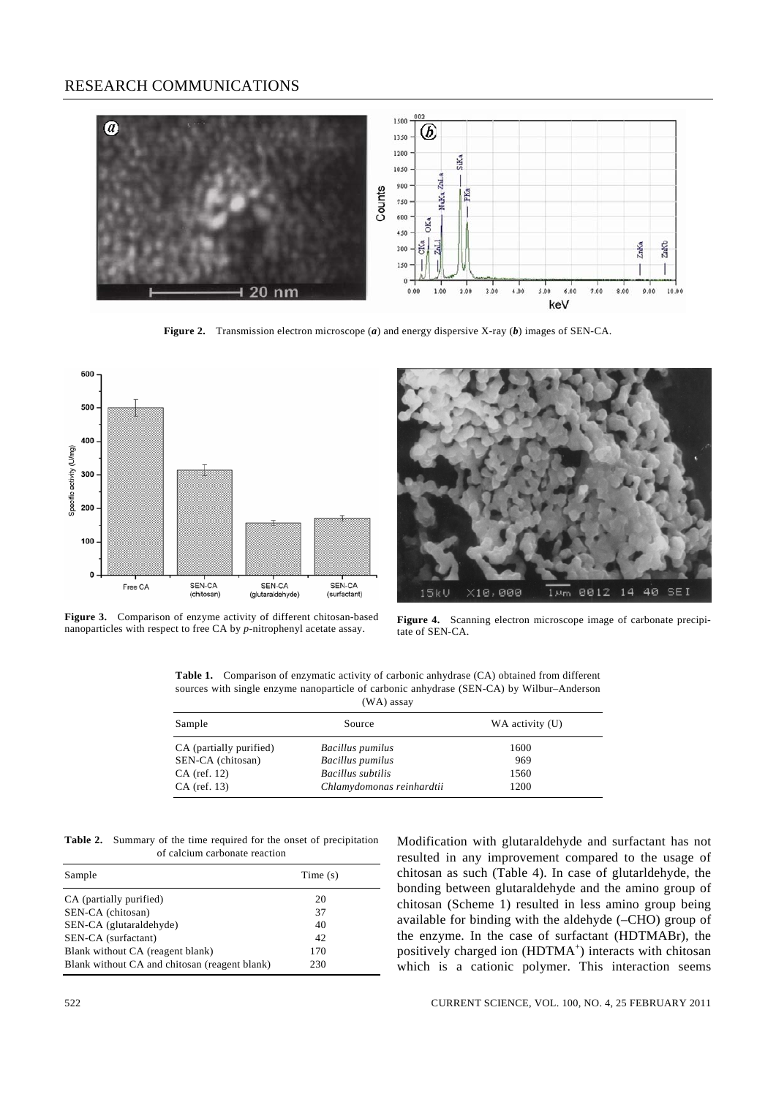### RESEARCH COMMUNICATIONS



**Figure 2.** Transmission electron microscope (*a*) and energy dispersive X-ray (*b*) images of SEN-CA.



**Figure 3.** Comparison of enzyme activity of different chitosan-based **Figure 3.** Comparison of enzyme activity of different chitosan-based<br>nanoparticles with respect to free CA by *p*-nitrophenyl acetate assay.<br>tate of SEN-CA



tate of SEN-CA.

**Table 1.** Comparison of enzymatic activity of carbonic anhydrase (CA) obtained from different sources with single enzyme nanoparticle of carbonic anhydrase (SEN-CA) by Wilbur–Anderson (WA) assay

| Sample                  | Source                    | WA activity (U) |
|-------------------------|---------------------------|-----------------|
| CA (partially purified) | Bacillus pumilus          | 1600            |
| SEN-CA (chitosan)       | <b>Bacillus</b> pumilus   | 969             |
| $CA$ (ref. 12)          | Bacillus subtilis         | 1560            |
| $CA$ (ref. 13)          | Chlamydomonas reinhardtii | 1200            |

**Table 2.** Summary of the time required for the onset of precipitation of calcium carbonate reaction

| Sample                                        | Time $(s)$ |
|-----------------------------------------------|------------|
| CA (partially purified)                       | 20         |
| SEN-CA (chitosan)                             | 37         |
| SEN-CA (glutaraldehyde)                       | 40         |
| SEN-CA (surfactant)                           | 42         |
| Blank without CA (reagent blank)              | 170        |
| Blank without CA and chitosan (reagent blank) | 230        |

Modification with glutaraldehyde and surfactant has not resulted in any improvement compared to the usage of chitosan as such (Table 4). In case of glutarldehyde, the bonding between glutaraldehyde and the amino group of chitosan (Scheme 1) resulted in less amino group being available for binding with the aldehyde (–CHO) group of the enzyme. In the case of surfactant (HDTMABr), the positively charged ion (HDTMA<sup>+</sup>) interacts with chitosan which is a cationic polymer. This interaction seems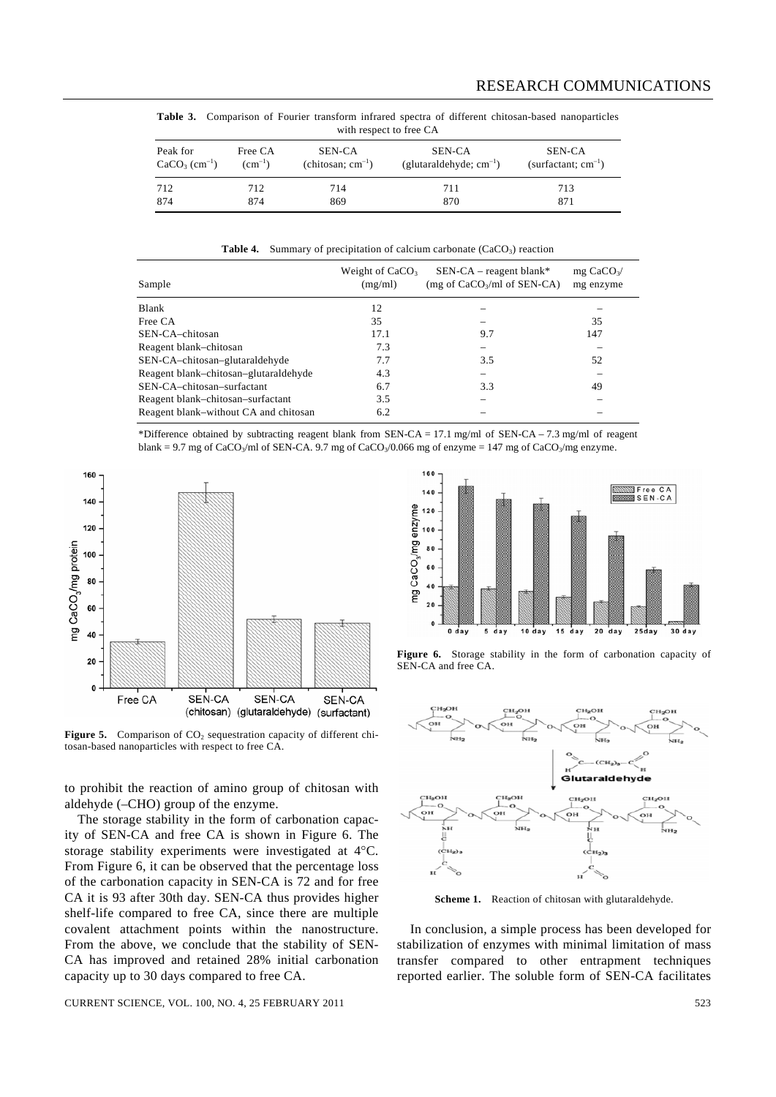**Table 3.** Comparison of Fourier transform infrared spectra of different chitosan-based nanoparticles with respect to free CA

| Peak for       | Free CA     | SEN-CA                 | SEN-CA                       | SEN-CA                   |
|----------------|-------------|------------------------|------------------------------|--------------------------|
| $CaCO3 (cm-1)$ | $(cm^{-1})$ | (chitosan; $cm^{-1}$ ) | (glutaraldehyde; $cm^{-1}$ ) | (surfactant; $cm^{-1}$ ) |
| 712            | 712         | 714                    | 711                          | 713                      |
| 874            | 874         | 869                    | 870                          | 871                      |

**Table 4.** Summary of precipitation of calcium carbonate (CaCO<sub>3</sub>) reaction

| Sample                                | Weight of $CaCO3$<br>(mg/ml) | $SEN-CA - reagent blank*$<br>(mg of $CaCO3/ml$ of SEN-CA) | $mg \text{CaCO}_3$ /<br>mg enzyme |
|---------------------------------------|------------------------------|-----------------------------------------------------------|-----------------------------------|
| Blank                                 | 12                           |                                                           |                                   |
| Free CA                               | 35                           |                                                           | 35                                |
| SEN-CA-chitosan                       | 17.1                         | 9.7                                                       | 147                               |
| Reagent blank–chitosan                | 7.3                          |                                                           |                                   |
| SEN-CA-chitosan-glutaraldehyde        | 7.7                          | 3.5                                                       | 52                                |
| Reagent blank-chitosan-glutaraldehyde | 4.3                          |                                                           |                                   |
| SEN-CA-chitosan-surfactant            | 6.7                          | 3.3                                                       | 49                                |
| Reagent blank-chitosan-surfactant     | 3.5                          |                                                           |                                   |
| Reagent blank–without CA and chitosan | 6.2                          |                                                           |                                   |





Figure 5. Comparison of CO<sub>2</sub> sequestration capacity of different chitosan-based nanoparticles with respect to free CA.

to prohibit the reaction of amino group of chitosan with aldehyde (–CHO) group of the enzyme.

 The storage stability in the form of carbonation capacity of SEN-CA and free CA is shown in Figure 6. The storage stability experiments were investigated at 4°C. From Figure 6, it can be observed that the percentage loss of the carbonation capacity in SEN-CA is 72 and for free CA it is 93 after 30th day. SEN-CA thus provides higher shelf-life compared to free CA, since there are multiple covalent attachment points within the nanostructure. From the above, we conclude that the stability of SEN-CA has improved and retained 28% initial carbonation capacity up to 30 days compared to free CA.



Figure 6. Storage stability in the form of carbonation capacity of SEN-CA and free CA.



**Scheme 1.** Reaction of chitosan with glutaraldehyde.

 In conclusion, a simple process has been developed for stabilization of enzymes with minimal limitation of mass transfer compared to other entrapment techniques reported earlier. The soluble form of SEN-CA facilitates